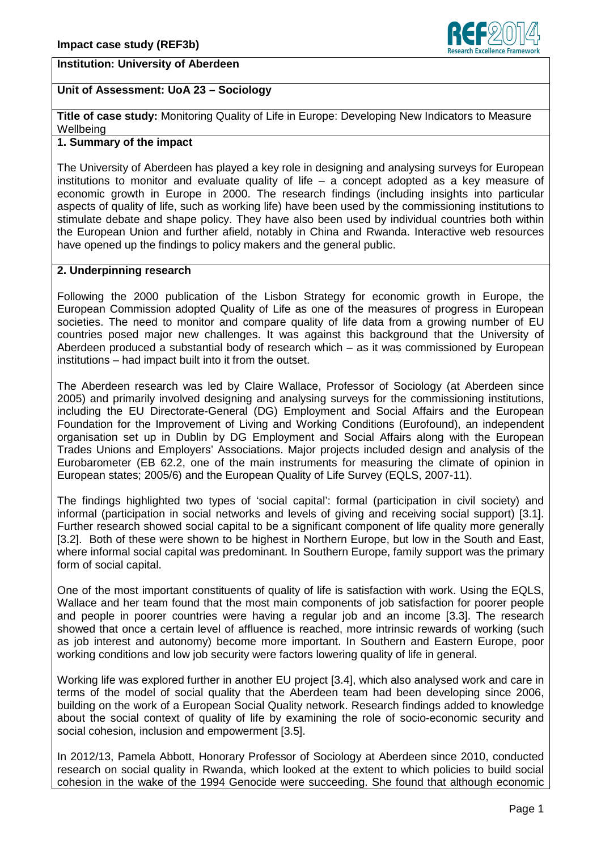# **Institution: University of Aberdeen**



# **Unit of Assessment: UoA 23 – Sociology**

**Title of case study:** Monitoring Quality of Life in Europe: Developing New Indicators to Measure **Wellbeing** 

# **1. Summary of the impact**

The University of Aberdeen has played a key role in designing and analysing surveys for European institutions to monitor and evaluate quality of life – a concept adopted as a key measure of economic growth in Europe in 2000. The research findings (including insights into particular aspects of quality of life, such as working life) have been used by the commissioning institutions to stimulate debate and shape policy. They have also been used by individual countries both within the European Union and further afield, notably in China and Rwanda. Interactive web resources have opened up the findings to policy makers and the general public.

### **2. Underpinning research**

Following the 2000 publication of the Lisbon Strategy for economic growth in Europe, the European Commission adopted Quality of Life as one of the measures of progress in European societies. The need to monitor and compare quality of life data from a growing number of EU countries posed major new challenges. It was against this background that the University of Aberdeen produced a substantial body of research which – as it was commissioned by European institutions – had impact built into it from the outset.

The Aberdeen research was led by Claire Wallace, Professor of Sociology (at Aberdeen since 2005) and primarily involved designing and analysing surveys for the commissioning institutions, including the EU Directorate-General (DG) Employment and Social Affairs and the European Foundation for the Improvement of Living and Working Conditions (Eurofound), an independent organisation set up in Dublin by DG Employment and Social Affairs along with the European Trades Unions and Employers' Associations. Major projects included design and analysis of the Eurobarometer (EB 62.2, one of the main instruments for measuring the climate of opinion in European states; 2005/6) and the European Quality of Life Survey (EQLS, 2007-11).

The findings highlighted two types of 'social capital': formal (participation in civil society) and informal (participation in social networks and levels of giving and receiving social support) [3.1]. Further research showed social capital to be a significant component of life quality more generally [3.2]. Both of these were shown to be highest in Northern Europe, but low in the South and East, where informal social capital was predominant. In Southern Europe, family support was the primary form of social capital.

One of the most important constituents of quality of life is satisfaction with work. Using the EQLS, Wallace and her team found that the most main components of job satisfaction for poorer people and people in poorer countries were having a regular job and an income [3.3]. The research showed that once a certain level of affluence is reached, more intrinsic rewards of working (such as job interest and autonomy) become more important. In Southern and Eastern Europe, poor working conditions and low job security were factors lowering quality of life in general.

Working life was explored further in another EU project [3.4], which also analysed work and care in terms of the model of social quality that the Aberdeen team had been developing since 2006, building on the work of a European Social Quality network. Research findings added to knowledge about the social context of quality of life by examining the role of socio-economic security and social cohesion, inclusion and empowerment [3.5].

In 2012/13, Pamela Abbott, Honorary Professor of Sociology at Aberdeen since 2010, conducted research on social quality in Rwanda, which looked at the extent to which policies to build social cohesion in the wake of the 1994 Genocide were succeeding. She found that although economic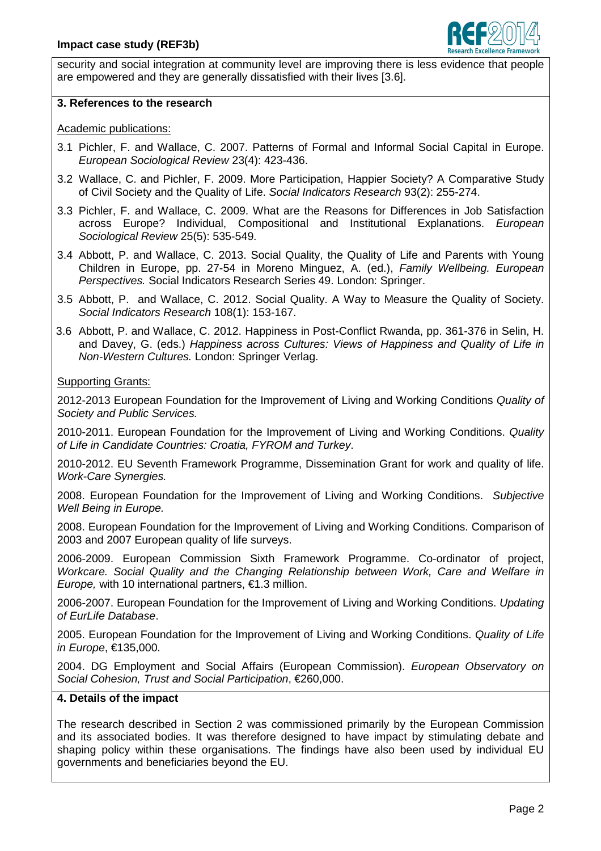

security and social integration at community level are improving there is less evidence that people are empowered and they are generally dissatisfied with their lives [3.6].

### **3. References to the research**

Academic publications:

- 3.1 Pichler, F. and Wallace, C. 2007. Patterns of Formal and Informal Social Capital in Europe. European Sociological Review 23(4): 423-436.
- 3.2 Wallace, C. and Pichler, F. 2009. More Participation, Happier Society? A Comparative Study of Civil Society and the Quality of Life. Social Indicators Research 93(2): 255-274.
- 3.3 Pichler, F. and Wallace, C. 2009. What are the Reasons for Differences in Job Satisfaction across Europe? Individual, Compositional and Institutional Explanations. European Sociological Review 25(5): 535-549.
- 3.4 Abbott, P. and Wallace, C. 2013. Social Quality, the Quality of Life and Parents with Young Children in Europe, pp. 27-54 in Moreno Minguez, A. (ed.), Family Wellbeing. European Perspectives. Social Indicators Research Series 49. London: Springer.
- 3.5 Abbott, P. and Wallace, C. 2012. Social Quality. A Way to Measure the Quality of Society. Social Indicators Research 108(1): 153-167.
- 3.6 Abbott, P. and Wallace, C. 2012. Happiness in Post-Conflict Rwanda, pp. 361-376 in Selin, H. and Davey, G. (eds.) Happiness across Cultures: Views of Happiness and Quality of Life in Non-Western Cultures. London: Springer Verlag.

### Supporting Grants:

2012-2013 European Foundation for the Improvement of Living and Working Conditions Quality of Society and Public Services.

2010-2011. European Foundation for the Improvement of Living and Working Conditions. Quality of Life in Candidate Countries: Croatia, FYROM and Turkey.

2010-2012. EU Seventh Framework Programme, Dissemination Grant for work and quality of life. Work-Care Synergies.

2008. European Foundation for the Improvement of Living and Working Conditions. Subjective Well Being in Europe.

2008. European Foundation for the Improvement of Living and Working Conditions. Comparison of 2003 and 2007 European quality of life surveys.

2006-2009. European Commission Sixth Framework Programme. Co-ordinator of project, Workcare. Social Quality and the Changing Relationship between Work, Care and Welfare in Europe, with 10 international partners,  $\epsilon$ 1.3 million.

2006-2007. European Foundation for the Improvement of Living and Working Conditions. Updating of Furl ife Database.

2005. European Foundation for the Improvement of Living and Working Conditions. Quality of Life in Europe, €135,000.

2004. DG Employment and Social Affairs (European Commission). *European Observatory on* Social Cohesion, Trust and Social Participation, €260,000.

### **4. Details of the impact**

The research described in Section 2 was commissioned primarily by the European Commission and its associated bodies. It was therefore designed to have impact by stimulating debate and shaping policy within these organisations. The findings have also been used by individual EU governments and beneficiaries beyond the EU.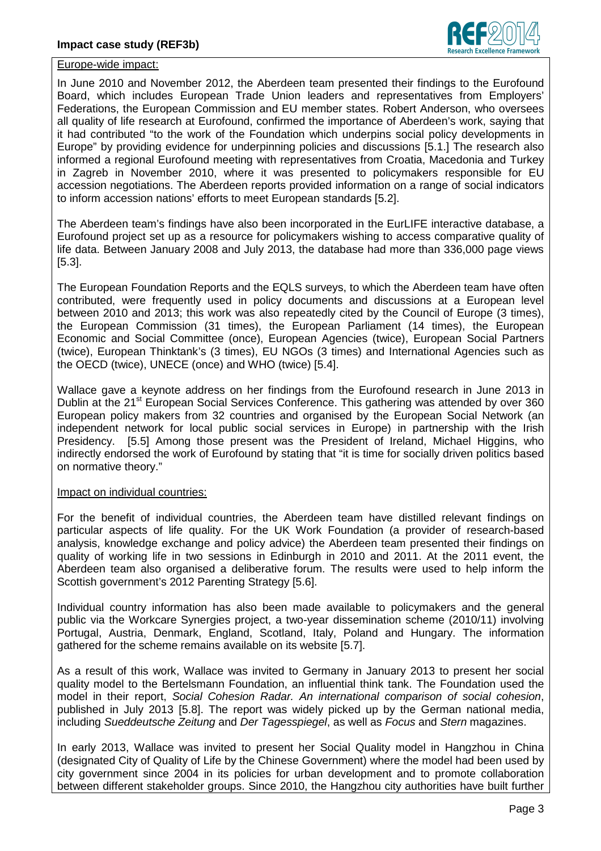

#### Europe-wide impact:

In June 2010 and November 2012, the Aberdeen team presented their findings to the Eurofound Board, which includes European Trade Union leaders and representatives from Employers' Federations, the European Commission and EU member states. Robert Anderson, who oversees all quality of life research at Eurofound, confirmed the importance of Aberdeen's work, saying that it had contributed "to the work of the Foundation which underpins social policy developments in Europe" by providing evidence for underpinning policies and discussions [5.1.] The research also informed a regional Eurofound meeting with representatives from Croatia, Macedonia and Turkey in Zagreb in November 2010, where it was presented to policymakers responsible for EU accession negotiations. The Aberdeen reports provided information on a range of social indicators to inform accession nations' efforts to meet European standards [5.2].

The Aberdeen team's findings have also been incorporated in the EurLIFE interactive database, a Eurofound project set up as a resource for policymakers wishing to access comparative quality of life data. Between January 2008 and July 2013, the database had more than 336,000 page views [5.3].

The European Foundation Reports and the EQLS surveys, to which the Aberdeen team have often contributed, were frequently used in policy documents and discussions at a European level between 2010 and 2013; this work was also repeatedly cited by the Council of Europe (3 times), the European Commission (31 times), the European Parliament (14 times), the European Economic and Social Committee (once), European Agencies (twice), European Social Partners (twice), European Thinktank's (3 times), EU NGOs (3 times) and International Agencies such as the OECD (twice), UNECE (once) and WHO (twice) [5.4].

Wallace gave a keynote address on her findings from the Eurofound research in June 2013 in Dublin at the 21<sup>st</sup> European Social Services Conference. This gathering was attended by over 360 European policy makers from 32 countries and organised by the European Social Network (an independent network for local public social services in Europe) in partnership with the Irish Presidency. [5.5] Among those present was the President of Ireland, Michael Higgins, who indirectly endorsed the work of Eurofound by stating that "it is time for socially driven politics based on normative theory."

#### Impact on individual countries:

For the benefit of individual countries, the Aberdeen team have distilled relevant findings on particular aspects of life quality. For the UK Work Foundation (a provider of research-based analysis, knowledge exchange and policy advice) the Aberdeen team presented their findings on quality of working life in two sessions in Edinburgh in 2010 and 2011. At the 2011 event, the Aberdeen team also organised a deliberative forum. The results were used to help inform the Scottish government's 2012 Parenting Strategy [5.6].

Individual country information has also been made available to policymakers and the general public via the Workcare Synergies project, a two-year dissemination scheme (2010/11) involving Portugal, Austria, Denmark, England, Scotland, Italy, Poland and Hungary. The information gathered for the scheme remains available on its website [5.7].

As a result of this work, Wallace was invited to Germany in January 2013 to present her social quality model to the Bertelsmann Foundation, an influential think tank. The Foundation used the model in their report, Social Cohesion Radar. An international comparison of social cohesion, published in July 2013 [5.8]. The report was widely picked up by the German national media, including Sueddeutsche Zeitung and Der Tagesspiegel, as well as Focus and Stern magazines.

In early 2013, Wallace was invited to present her Social Quality model in Hangzhou in China (designated City of Quality of Life by the Chinese Government) where the model had been used by city government since 2004 in its policies for urban development and to promote collaboration between different stakeholder groups. Since 2010, the Hangzhou city authorities have built further